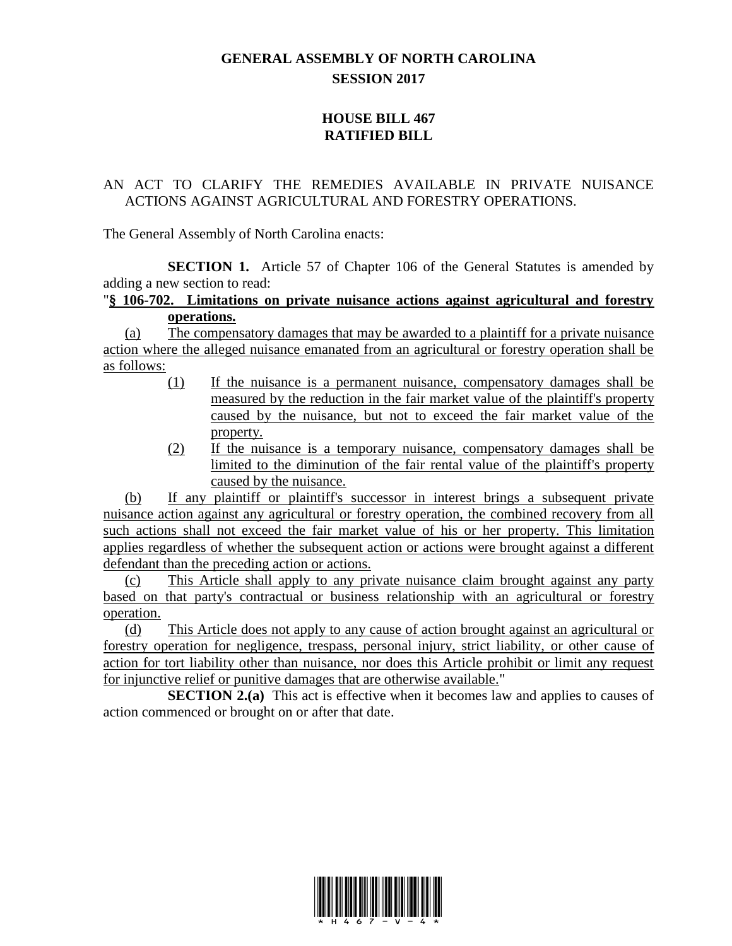## **GENERAL ASSEMBLY OF NORTH CAROLINA SESSION 2017**

## **HOUSE BILL 467 RATIFIED BILL**

## AN ACT TO CLARIFY THE REMEDIES AVAILABLE IN PRIVATE NUISANCE ACTIONS AGAINST AGRICULTURAL AND FORESTRY OPERATIONS.

The General Assembly of North Carolina enacts:

**SECTION 1.** Article 57 of Chapter 106 of the General Statutes is amended by adding a new section to read:

## "**§ 106-702. Limitations on private nuisance actions against agricultural and forestry operations.**

(a) The compensatory damages that may be awarded to a plaintiff for a private nuisance action where the alleged nuisance emanated from an agricultural or forestry operation shall be as follows:

- (1) If the nuisance is a permanent nuisance, compensatory damages shall be measured by the reduction in the fair market value of the plaintiff's property caused by the nuisance, but not to exceed the fair market value of the property.
- (2) If the nuisance is a temporary nuisance, compensatory damages shall be limited to the diminution of the fair rental value of the plaintiff's property caused by the nuisance.

(b) If any plaintiff or plaintiff's successor in interest brings a subsequent private nuisance action against any agricultural or forestry operation, the combined recovery from all such actions shall not exceed the fair market value of his or her property. This limitation applies regardless of whether the subsequent action or actions were brought against a different defendant than the preceding action or actions.

(c) This Article shall apply to any private nuisance claim brought against any party based on that party's contractual or business relationship with an agricultural or forestry operation.

(d) This Article does not apply to any cause of action brought against an agricultural or forestry operation for negligence, trespass, personal injury, strict liability, or other cause of action for tort liability other than nuisance, nor does this Article prohibit or limit any request for injunctive relief or punitive damages that are otherwise available."

**SECTION 2.(a)** This act is effective when it becomes law and applies to causes of action commenced or brought on or after that date.